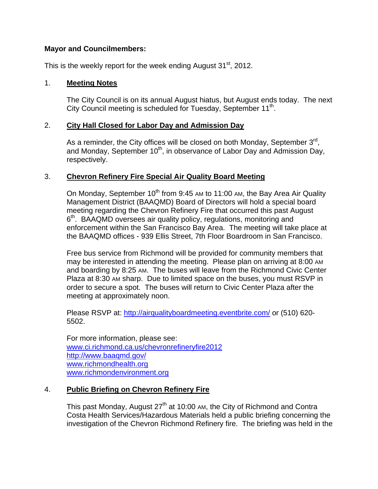### **Mayor and Councilmembers:**

This is the weekly report for the week ending August  $31<sup>st</sup>$ , 2012.

### 1. **Meeting Notes**

The City Council is on its annual August hiatus, but August ends today. The next City Council meeting is scheduled for Tuesday, September  $11<sup>th</sup>$ .

## 2. **City Hall Closed for Labor Day and Admission Day**

As a reminder, the City offices will be closed on both Monday, September  $3<sup>rd</sup>$ , and Monday, September  $10^{th}$ , in observance of Labor Day and Admission Day, respectively.

## 3. **Chevron Refinery Fire Special Air Quality Board Meeting**

On Monday, September  $10^{th}$  from 9:45 AM to 11:00 AM, the Bay Area Air Quality Management District (BAAQMD) Board of Directors will hold a special board meeting regarding the Chevron Refinery Fire that occurred this past August  $6<sup>th</sup>$ . BAAQMD oversees air quality policy, regulations, monitoring and enforcement within the San Francisco Bay Area. The meeting will take place at the BAAQMD offices - 939 Ellis Street, 7th Floor Boardroom in San Francisco.

Free bus service from Richmond will be provided for community members that may be interested in attending the meeting. Please plan on arriving at 8:00 AM and boarding by 8:25 AM. The buses will leave from the Richmond Civic Center Plaza at 8:30 AM sharp. Due to limited space on the buses, you must RSVP in order to secure a spot. The buses will return to Civic Center Plaza after the meeting at approximately noon.

Please RSVP at: http://airqualityboardmeeting.eventbrite.com/ or (510) 620- 5502.

For more information, please see: www.ci.richmond.ca.us/chevronrefineryfire2012 http://www.baaqmd.gov/ www.richmondhealth.org www.richmondenvironment.org

# 4. **Public Briefing on Chevron Refinery Fire**

This past Monday, August  $27<sup>th</sup>$  at 10:00 AM, the City of Richmond and Contra Costa Health Services/Hazardous Materials held a public briefing concerning the investigation of the Chevron Richmond Refinery fire. The briefing was held in the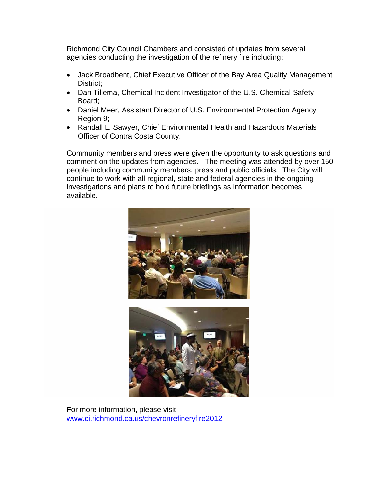Richmond City Council Chambers and consisted of updates from several agencies conducting the investigation of the refinery fire including:

- Jack Broadbent, Chief Executive Officer of the Bay Area Quality Management District:
- Dan Tillema, Chemical Incident Investigator of the U.S. Chemical Safety Board:
- Daniel Meer, Assistant Director of U.S. Environmental Protection Agency Region 9;
- Randall L. Sawyer, Chief Environmental Health and Hazardous Materials Officer of Contra Costa County.

Community members and press were given the opportunity to ask questions and comment on the updates from agencies. The meeting was attended by over 150 people including community members, press and public officials. The City will continue to work with all regional, state and federal agencies in the ongoing investigations and plans to hold future briefings as information becomes available.





For more information, please visit www.ci.richmond.ca.us/chevronrefineryfire2012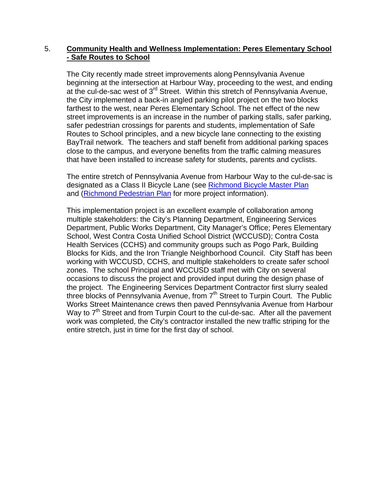### 5. **Community Health and Wellness Implementation: Peres Elementary School - Safe Routes to School**

The City recently made street improvements along Pennsylvania Avenue beginning at the intersection at Harbour Way, proceeding to the west, and ending at the cul-de-sac west of 3rd Street. Within this stretch of Pennsylvania Avenue, the City implemented a back-in angled parking pilot project on the two blocks farthest to the west, near Peres Elementary School. The net effect of the new street improvements is an increase in the number of parking stalls, safer parking, safer pedestrian crossings for parents and students, implementation of Safe Routes to School principles, and a new bicycle lane connecting to the existing BayTrail network. The teachers and staff benefit from additional parking spaces close to the campus, and everyone benefits from the traffic calming measures that have been installed to increase safety for students, parents and cyclists.

The entire stretch of Pennsylvania Avenue from Harbour Way to the cul-de-sac is designated as a Class II Bicycle Lane (see Richmond Bicycle Master Plan and (Richmond Pedestrian Plan for more project information).

This implementation project is an excellent example of collaboration among multiple stakeholders: the City's Planning Department, Engineering Services Department, Public Works Department, City Manager's Office; Peres Elementary School, West Contra Costa Unified School District (WCCUSD); Contra Costa Health Services (CCHS) and community groups such as Pogo Park, Building Blocks for Kids, and the Iron Triangle Neighborhood Council. City Staff has been working with WCCUSD, CCHS, and multiple stakeholders to create safer school zones. The school Principal and WCCUSD staff met with City on several occasions to discuss the project and provided input during the design phase of the project. The Engineering Services Department Contractor first slurry sealed three blocks of Pennsylvania Avenue, from 7<sup>th</sup> Street to Turpin Court. The Public Works Street Maintenance crews then paved Pennsylvania Avenue from Harbour Way to  $7<sup>th</sup>$  Street and from Turpin Court to the cul-de-sac. After all the pavement work was completed, the City's contractor installed the new traffic striping for the entire stretch, just in time for the first day of school.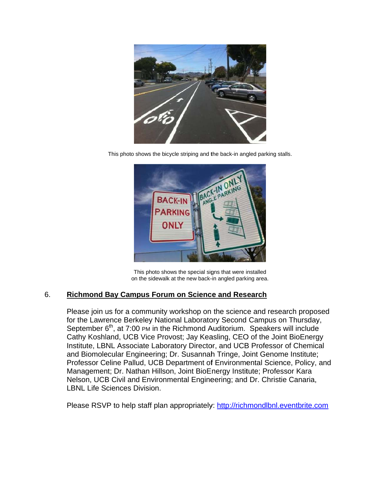

This photo shows the bicycle striping and the back-in angled parking stalls.



This photo shows the special signs that were installed on the sidewalk at the new back-in angled parking area.

### **Richmond Bay Campus Forum on Science and Research** 6.

Please join us for a community workshop on the science and research proposed for the Lawrence Berkeley National Laboratory Second Campus on Thursday, September  $6<sup>th</sup>$ , at 7:00 PM in the Richmond Auditorium. Speakers will include Cathy Koshland, UCB Vice Provost; Jay Keasling, CEO of the Joint BioEnergy Institute, LBNL Associate Laboratory Director, and UCB Professor of Chemical and Biomolecular Engineering; Dr. Susannah Tringe, Joint Genome Institute; Professor Celine Pallud, UCB Department of Environmental Science, Policy, and Management; Dr. Nathan Hillson, Joint BioEnergy Institute; Professor Kara Nelson, UCB Civil and Environmental Engineering; and Dr. Christie Canaria, **LBNL Life Sciences Division.** 

Please RSVP to help staff plan appropriately: http://richmondlbnl.eventbrite.com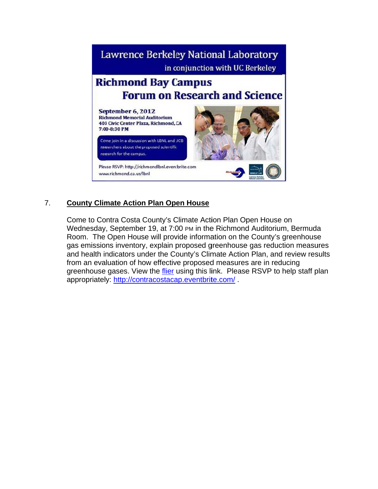

### 7. **County Climate Action Plan Open House**

Come to Contra Costa County's Climate Action Plan Open House on Wednesday, September 19, at 7:00 PM in the Richmond Auditorium, Bermuda Room. The Open House will provide information on the County's greenhouse gas emissions inventory, explain proposed greenhouse gas reduction measures and health indicators under the County's Climate Action Plan, and review results from an evaluation of how effective proposed measures are in reducing greenhouse gases. View the flier using this link. Please RSVP to help staff plan appropriately: http://contracostacap.eventbrite.com/.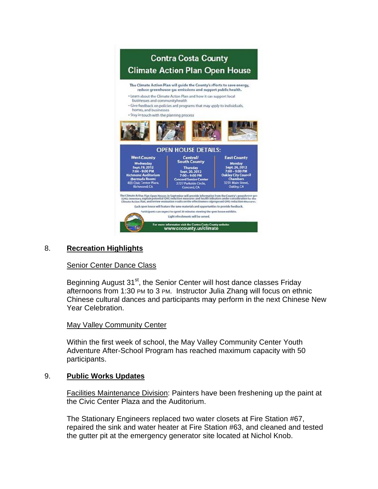

#### **Recreation Highlights** 8.

### **Senior Center Dance Class**

Beginning August 31<sup>st</sup>, the Senior Center will host dance classes Friday afternoons from 1:30 PM to 3 PM. Instructor Julia Zhang will focus on ethnic Chinese cultural dances and participants may perform in the next Chinese New Year Celebration.

### May Valley Community Center

Within the first week of school, the May Valley Community Center Youth Adventure After-School Program has reached maximum capacity with 50 participants.

#### 9. **Public Works Updates**

Facilities Maintenance Division: Painters have been freshening up the paint at the Civic Center Plaza and the Auditorium.

The Stationary Engineers replaced two water closets at Fire Station #67, repaired the sink and water heater at Fire Station #63, and cleaned and tested the gutter pit at the emergency generator site located at Nichol Knob.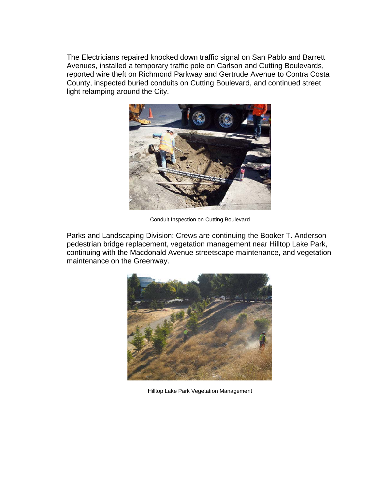The Electricians repaired knocked down traffic signal on San Pablo and Barrett Avenues, installed a temporary traffic pole on Carlson and Cutting Boulevards, reported wire theft on Richmond Parkway and Gertrude Avenue to Contra Costa County, inspected buried conduits on Cutting Boulevard, and continued street light relamping around the City.



Conduit Inspection on Cutting Boulevard

Parks and Landscaping Division: Crews are continuing the Booker T. Anderson pedestrian bridge replacement, vegetation management near Hilltop Lake Park, continuing with the Macdonald Avenue streetscape maintenance, and vegetation maintenance on the Greenway.



Hilltop Lake Park Vegetation Management